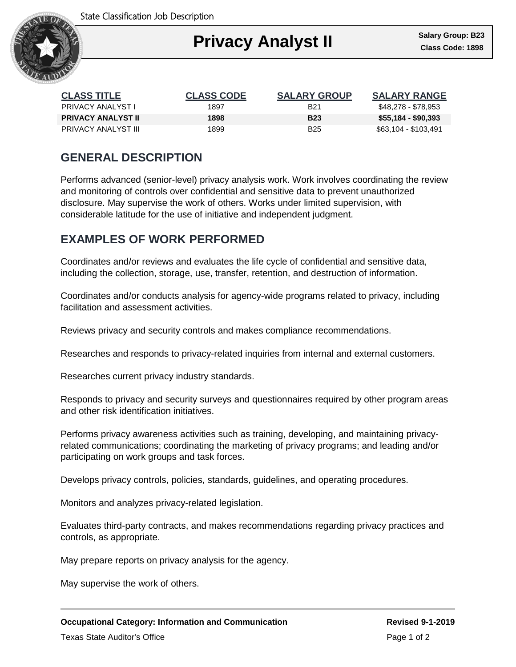State Classification Job Description



| <b>CLASS TITLE</b>         | <b>CLASS CODE</b> | <b>SALARY GROUP</b> | <b>SALARY RANGE</b>  |
|----------------------------|-------------------|---------------------|----------------------|
| <b>PRIVACY ANALYST I</b>   | 1897              | B <sub>21</sub>     | \$48,278 - \$78,953  |
| <b>PRIVACY ANALYST II</b>  | 1898              | <b>B23</b>          | \$55,184 - \$90,393  |
| <b>PRIVACY ANALYST III</b> | 1899              | B <sub>25</sub>     | \$63,104 - \$103,491 |

# **GENERAL DESCRIPTION**

Performs advanced (senior-level) privacy analysis work. Work involves coordinating the review and monitoring of controls over confidential and sensitive data to prevent unauthorized disclosure. May supervise the work of others. Works under limited supervision, with considerable latitude for the use of initiative and independent judgment.

## **EXAMPLES OF WORK PERFORMED**

Coordinates and/or reviews and evaluates the life cycle of confidential and sensitive data, including the collection, storage, use, transfer, retention, and destruction of information.

Coordinates and/or conducts analysis for agency-wide programs related to privacy, including facilitation and assessment activities.

Reviews privacy and security controls and makes compliance recommendations.

Researches and responds to privacy-related inquiries from internal and external customers.

Researches current privacy industry standards.

Responds to privacy and security surveys and questionnaires required by other program areas and other risk identification initiatives.

Performs privacy awareness activities such as training, developing, and maintaining privacyrelated communications; coordinating the marketing of privacy programs; and leading and/or participating on work groups and task forces.

Develops privacy controls, policies, standards, guidelines, and operating procedures.

Monitors and analyzes privacy-related legislation.

Evaluates third-party contracts, and makes recommendations regarding privacy practices and controls, as appropriate.

May prepare reports on privacy analysis for the agency.

May supervise the work of others.